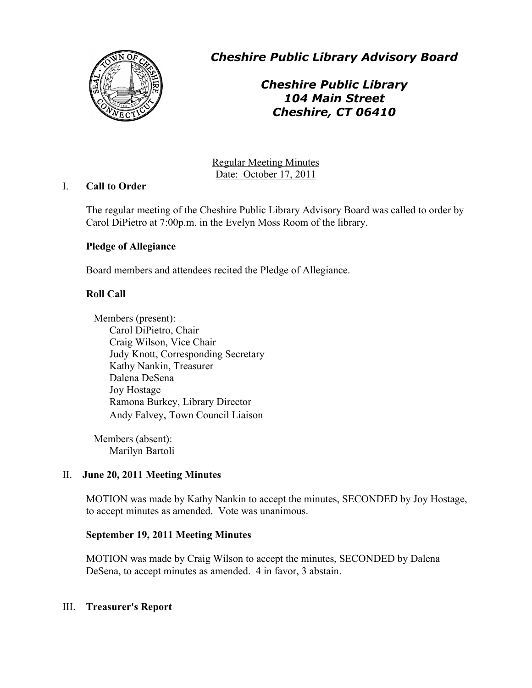

*Cheshire Public Library Advisory Board*

# *Cheshire Public Library 104 Main Street Cheshire, CT 06410*

Regular Meeting Minutes Date: October 17, 2011

## I. **Call to Order**

The regular meeting of the Cheshire Public Library Advisory Board was called to order by Carol DiPietro at 7:00p.m. in the Evelyn Moss Room of the library.

## **Pledge of Allegiance**

Board members and attendees recited the Pledge of Allegiance.

## **Roll Call**

Members (present): Carol DiPietro, Chair Craig Wilson, Vice Chair Judy Knott, Corresponding Secretary Kathy Nankin, Treasurer Dalena DeSena Joy Hostage Ramona Burkey, Library Director Andy Falvey, Town Council Liaison

Members (absent): Marilyn Bartoli

## II. **June 20, 2011 Meeting Minutes**

MOTION was made by Kathy Nankin to accept the minutes, SECONDED by Joy Hostage, to accept minutes as amended. Vote was unanimous.

#### **September 19, 2011 Meeting Minutes**

MOTION was made by Craig Wilson to accept the minutes, SECONDED by Dalena DeSena, to accept minutes as amended. 4 in favor, 3 abstain.

#### III. **Treasurer's Report**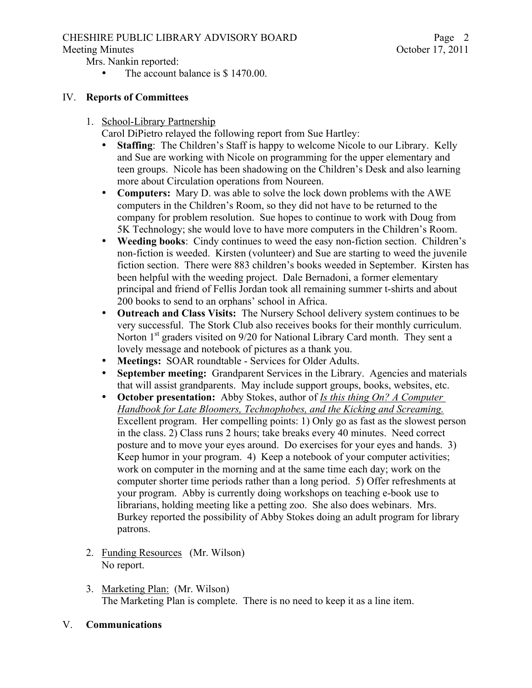## CHESHIRE PUBLIC LIBRARY ADVISORY BOARD

Mrs. Nankin reported:

The account balance is \$ 1470.00.

#### IV. **Reports of Committees**

1. School-Library Partnership

Carol DiPietro relayed the following report from Sue Hartley:

- **Staffing**: The Children's Staff is happy to welcome Nicole to our Library. Kelly and Sue are working with Nicole on programming for the upper elementary and teen groups. Nicole has been shadowing on the Children's Desk and also learning more about Circulation operations from Noureen.
- **Computers:** Mary D. was able to solve the lock down problems with the AWE computers in the Children's Room, so they did not have to be returned to the company for problem resolution. Sue hopes to continue to work with Doug from 5K Technology; she would love to have more computers in the Children's Room.
- **Weeding books**: Cindy continues to weed the easy non-fiction section. Children's non-fiction is weeded. Kirsten (volunteer) and Sue are starting to weed the juvenile fiction section. There were 883 children's books weeded in September. Kirsten has been helpful with the weeding project. Dale Bernadoni, a former elementary principal and friend of Fellis Jordan took all remaining summer t-shirts and about 200 books to send to an orphans' school in Africa.
- **Outreach and Class Visits:** The Nursery School delivery system continues to be very successful. The Stork Club also receives books for their monthly curriculum. Norton 1<sup>st</sup> graders visited on 9/20 for National Library Card month. They sent a lovely message and notebook of pictures as a thank you.
- **Meetings:** SOAR roundtable Services for Older Adults.
- **September meeting:** Grandparent Services in the Library. Agencies and materials that will assist grandparents. May include support groups, books, websites, etc.
- **October presentation:** Abby Stokes, author of *Is this thing On? A Computer Handbook for Late Bloomers, Technophobes, and the Kicking and Screaming.* Excellent program. Her compelling points: 1) Only go as fast as the slowest person in the class. 2) Class runs 2 hours; take breaks every 40 minutes. Need correct posture and to move your eyes around. Do exercises for your eyes and hands. 3) Keep humor in your program. 4) Keep a notebook of your computer activities; work on computer in the morning and at the same time each day; work on the computer shorter time periods rather than a long period. 5) Offer refreshments at your program. Abby is currently doing workshops on teaching e-book use to librarians, holding meeting like a petting zoo. She also does webinars. Mrs. Burkey reported the possibility of Abby Stokes doing an adult program for library patrons.
- 2. Funding Resources (Mr. Wilson) No report.
- 3. Marketing Plan: (Mr. Wilson) The Marketing Plan is complete. There is no need to keep it as a line item.
- V. **Communications**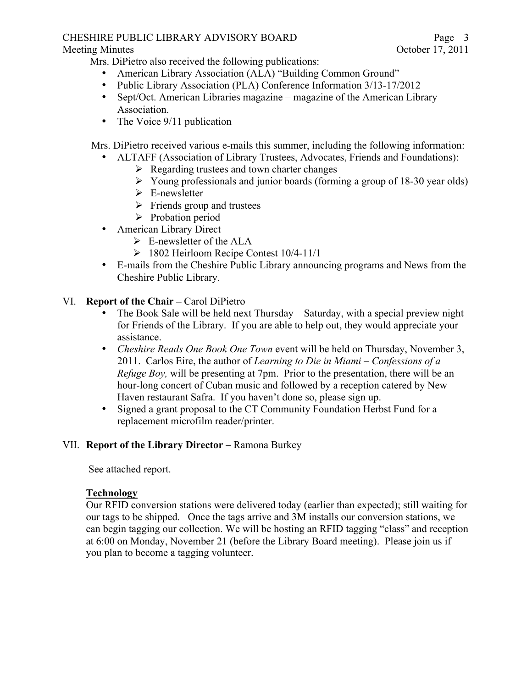#### CHESHIRE PUBLIC LIBRARY ADVISORY BOARD Meeting Minutes October 17, 2011

Mrs. DiPietro also received the following publications:

- American Library Association (ALA) "Building Common Ground"
- Public Library Association (PLA) Conference Information 3/13-17/2012
- Sept/Oct. American Libraries magazine magazine of the American Library Association.
- The Voice 9/11 publication

Mrs. DiPietro received various e-mails this summer, including the following information:

- ALTAFF (Association of Library Trustees, Advocates, Friends and Foundations):
	- $\triangleright$  Regarding trustees and town charter changes
	- $\triangleright$  Young professionals and junior boards (forming a group of 18-30 year olds)
	- $\triangleright$  E-newsletter
	- $\triangleright$  Friends group and trustees
	- $\triangleright$  Probation period
- American Library Direct
	- $\triangleright$  E-newsletter of the ALA
	- $\geq$  1802 Heirloom Recipe Contest 10/4-11/1
- E-mails from the Cheshire Public Library announcing programs and News from the Cheshire Public Library.

## VI. **Report of the Chair –** Carol DiPietro

- The Book Sale will be held next Thursday Saturday, with a special preview night for Friends of the Library. If you are able to help out, they would appreciate your assistance.
- *Cheshire Reads One Book One Town* event will be held on Thursday, November 3, 2011. Carlos Eire, the author of *Learning to Die in Miami – Confessions of a Refuge Boy,* will be presenting at 7pm. Prior to the presentation, there will be an hour-long concert of Cuban music and followed by a reception catered by New Haven restaurant Safra. If you haven't done so, please sign up.
- Signed a grant proposal to the CT Community Foundation Herbst Fund for a replacement microfilm reader/printer.

## VII. **Report of the Library Director –** Ramona Burkey

See attached report.

## **Technology**

Our RFID conversion stations were delivered today (earlier than expected); still waiting for our tags to be shipped. Once the tags arrive and 3M installs our conversion stations, we can begin tagging our collection. We will be hosting an RFID tagging "class" and reception at 6:00 on Monday, November 21 (before the Library Board meeting). Please join us if you plan to become a tagging volunteer.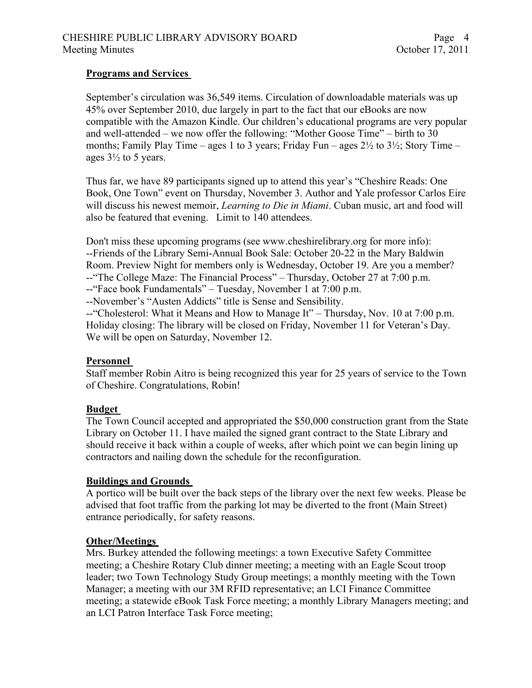## **Programs and Services**

September's circulation was 36,549 items. Circulation of downloadable materials was up 45% over September 2010, due largely in part to the fact that our eBooks are now compatible with the Amazon Kindle. Our children's educational programs are very popular and well-attended – we now offer the following: "Mother Goose Time" – birth to 30 months; Family Play Time – ages 1 to 3 years; Friday Fun – ages  $2\frac{1}{2}$  to  $3\frac{1}{2}$ ; Story Time – ages  $3\frac{1}{2}$  to 5 years.

Thus far, we have 89 participants signed up to attend this year's "Cheshire Reads: One Book, One Town" event on Thursday, November 3. Author and Yale professor Carlos Eire will discuss his newest memoir, *Learning to Die in Miami*. Cuban music, art and food will also be featured that evening. Limit to 140 attendees.

Don't miss these upcoming programs (see www.cheshirelibrary.org for more info): --Friends of the Library Semi-Annual Book Sale: October 20-22 in the Mary Baldwin Room. Preview Night for members only is Wednesday, October 19. Are you a member? --"The College Maze: The Financial Process" – Thursday, October 27 at 7:00 p.m.

--"Face book Fundamentals" – Tuesday, November 1 at 7:00 p.m.

--November's "Austen Addicts" title is Sense and Sensibility.

--"Cholesterol: What it Means and How to Manage It" – Thursday, Nov. 10 at 7:00 p.m. Holiday closing: The library will be closed on Friday, November 11 for Veteran's Day. We will be open on Saturday, November 12.

#### **Personnel**

Staff member Robin Aitro is being recognized this year for 25 years of service to the Town of Cheshire. Congratulations, Robin!

#### **Budget**

The Town Council accepted and appropriated the \$50,000 construction grant from the State Library on October 11. I have mailed the signed grant contract to the State Library and should receive it back within a couple of weeks, after which point we can begin lining up contractors and nailing down the schedule for the reconfiguration.

#### **Buildings and Grounds**

A portico will be built over the back steps of the library over the next few weeks. Please be advised that foot traffic from the parking lot may be diverted to the front (Main Street) entrance periodically, for safety reasons.

#### **Other/Meetings**

Mrs. Burkey attended the following meetings: a town Executive Safety Committee meeting; a Cheshire Rotary Club dinner meeting; a meeting with an Eagle Scout troop leader; two Town Technology Study Group meetings; a monthly meeting with the Town Manager; a meeting with our 3M RFID representative; an LCI Finance Committee meeting; a statewide eBook Task Force meeting; a monthly Library Managers meeting; and an LCI Patron Interface Task Force meeting;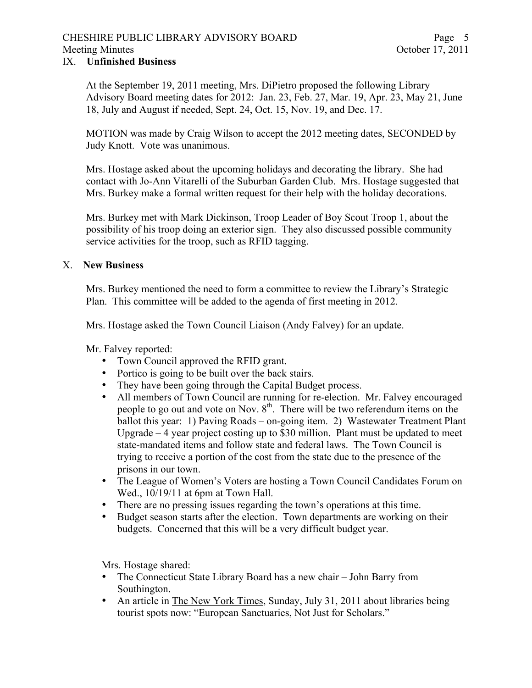#### CHESHIRE PUBLIC LIBRARY ADVISORY BOARD Meeting Minutes October 17, 2011

#### IX. **Unfinished Business**

At the September 19, 2011 meeting, Mrs. DiPietro proposed the following Library Advisory Board meeting dates for 2012: Jan. 23, Feb. 27, Mar. 19, Apr. 23, May 21, June 18, July and August if needed, Sept. 24, Oct. 15, Nov. 19, and Dec. 17.

MOTION was made by Craig Wilson to accept the 2012 meeting dates, SECONDED by Judy Knott. Vote was unanimous.

Mrs. Hostage asked about the upcoming holidays and decorating the library. She had contact with Jo-Ann Vitarelli of the Suburban Garden Club. Mrs. Hostage suggested that Mrs. Burkey make a formal written request for their help with the holiday decorations.

Mrs. Burkey met with Mark Dickinson, Troop Leader of Boy Scout Troop 1, about the possibility of his troop doing an exterior sign. They also discussed possible community service activities for the troop, such as RFID tagging.

#### X. **New Business**

Mrs. Burkey mentioned the need to form a committee to review the Library's Strategic Plan. This committee will be added to the agenda of first meeting in 2012.

Mrs. Hostage asked the Town Council Liaison (Andy Falvey) for an update.

Mr. Falvey reported:

- Town Council approved the RFID grant.
- Portico is going to be built over the back stairs.
- They have been going through the Capital Budget process.
- All members of Town Council are running for re-election. Mr. Falvey encouraged people to go out and vote on Nov.  $8<sup>th</sup>$ . There will be two referendum items on the ballot this year: 1) Paving Roads – on-going item. 2) Wastewater Treatment Plant Upgrade – 4 year project costing up to \$30 million. Plant must be updated to meet state-mandated items and follow state and federal laws. The Town Council is trying to receive a portion of the cost from the state due to the presence of the prisons in our town.
- The League of Women's Voters are hosting a Town Council Candidates Forum on Wed.,  $10/19/11$  at 6pm at Town Hall.
- There are no pressing issues regarding the town's operations at this time.
- Budget season starts after the election. Town departments are working on their budgets. Concerned that this will be a very difficult budget year.

Mrs. Hostage shared:

- The Connecticut State Library Board has a new chair John Barry from Southington.
- An article in The New York Times, Sunday, July 31, 2011 about libraries being tourist spots now: "European Sanctuaries, Not Just for Scholars."